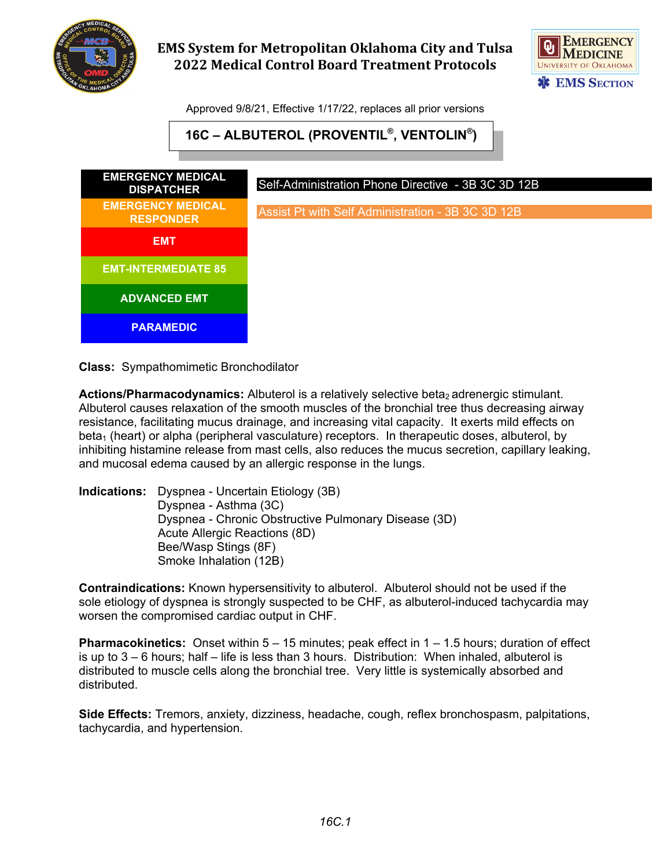

## **EMS System for Metropolitan Oklahoma City and Tulsa 2022 Medical Control Board Treatment Protocols**



Approved 9/8/21, Effective 1/17/22, replaces all prior versions

**16C – ALBUTEROL (PROVENTIL®, VENTOLIN®)**



**Class:** Sympathomimetic Bronchodilator

**Actions/Pharmacodynamics:** Albuterol is a relatively selective beta<sub>2</sub> adrenergic stimulant. Albuterol causes relaxation of the smooth muscles of the bronchial tree thus decreasing airway resistance, facilitating mucus drainage, and increasing vital capacity. It exerts mild effects on beta<sub>1</sub> (heart) or alpha (peripheral vasculature) receptors. In therapeutic doses, albuterol, by inhibiting histamine release from mast cells, also reduces the mucus secretion, capillary leaking, and mucosal edema caused by an allergic response in the lungs.

**Indications:** Dyspnea - Uncertain Etiology (3B) Dyspnea - Asthma (3C) Dyspnea - Chronic Obstructive Pulmonary Disease (3D) Acute Allergic Reactions (8D) Bee/Wasp Stings (8F) Smoke Inhalation (12B)

**Contraindications:** Known hypersensitivity to albuterol. Albuterol should not be used if the sole etiology of dyspnea is strongly suspected to be CHF, as albuterol-induced tachycardia may worsen the compromised cardiac output in CHF.

**Pharmacokinetics:** Onset within 5 – 15 minutes; peak effect in 1 – 1.5 hours; duration of effect is up to 3 – 6 hours; half – life is less than 3 hours. Distribution: When inhaled, albuterol is distributed to muscle cells along the bronchial tree. Very little is systemically absorbed and distributed.

**Side Effects:** Tremors, anxiety, dizziness, headache, cough, reflex bronchospasm, palpitations, tachycardia, and hypertension.